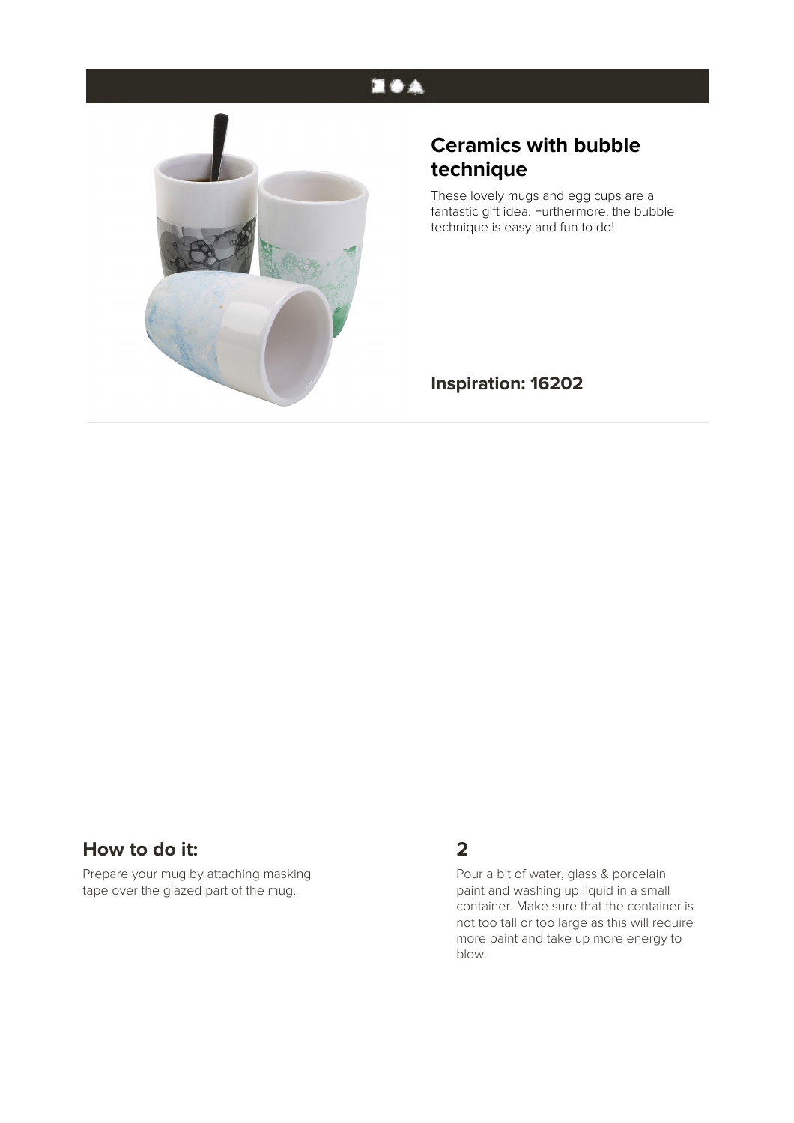## **EOA**



# **Ceramics with bubble technique**

These lovely mugs and egg cups are a fantastic gift idea. Furthermore, the bubble technique is easy and fun to do!

#### **Inspiration: 16202**

## **How to do it:**

Prepare your mug by attaching masking tape over the glazed part of the mug.

## **2**

Pour a bit of water, glass & porcelain paint and washing up liquid in a small container. Make sure that the container is not too tall or too large as this will require more paint and take up more energy to blow.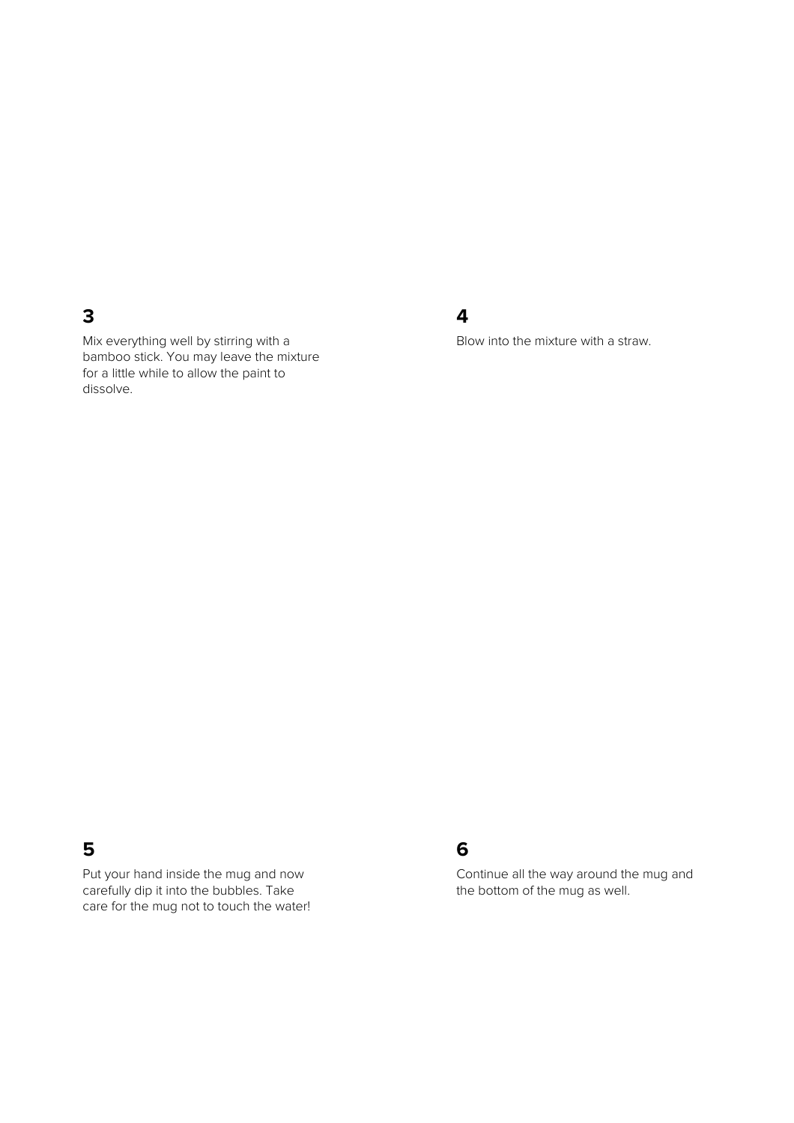#### **3**

Mix everything well by stirring with a bamboo stick. You may leave the mixture for a little while to allow the paint to dissolve.

#### **4**

Blow into the mixture with a straw.

## **5**

Put your hand inside the mug and now carefully dip it into the bubbles. Take care for the mug not to touch the water!

## **6**

Continue all the way around the mug and the bottom of the mug as well.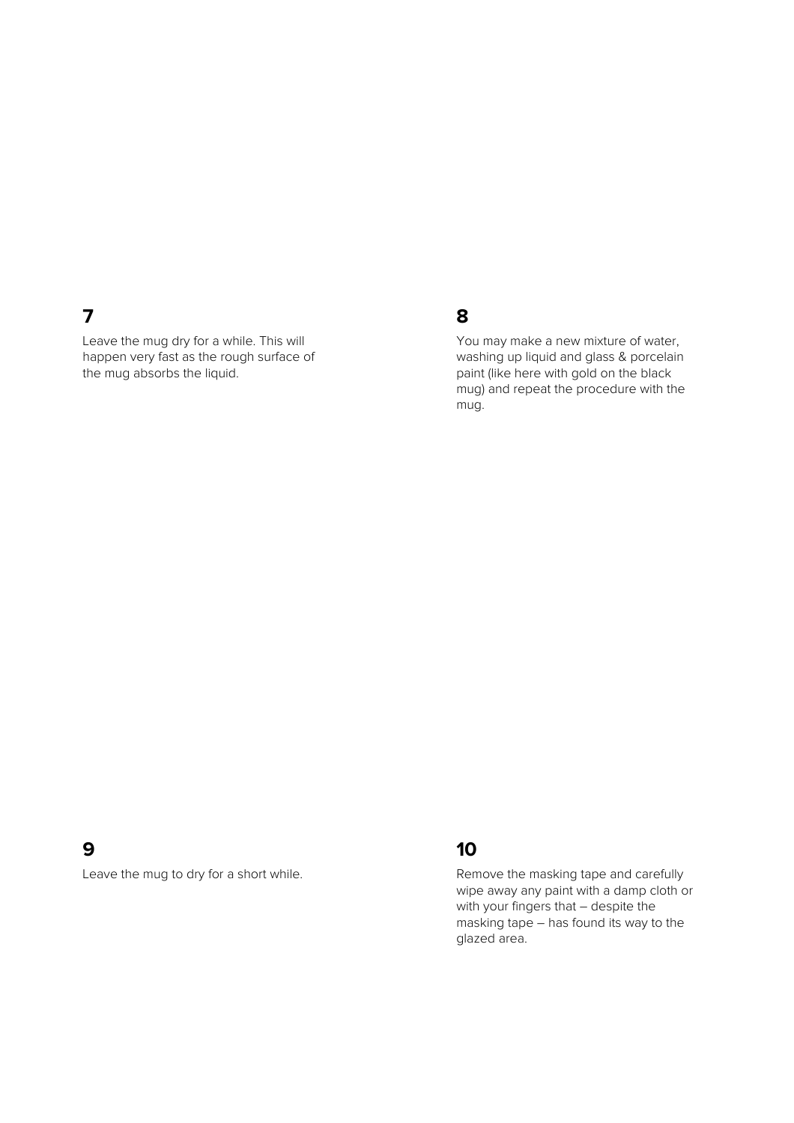## **7**

Leave the mug dry for a while. This will happen very fast as the rough surface of the mug absorbs the liquid.

## **8**

You may make a new mixture of water, washing up liquid and glass & porcelain paint (like here with gold on the black mug) and repeat the procedure with the mug.

#### **9**

Leave the mug to dry for a short while.

## **10**

Remove the masking tape and carefully wipe away any paint with a damp cloth or with your fingers that – despite the masking tape – has found its way to the glazed area.